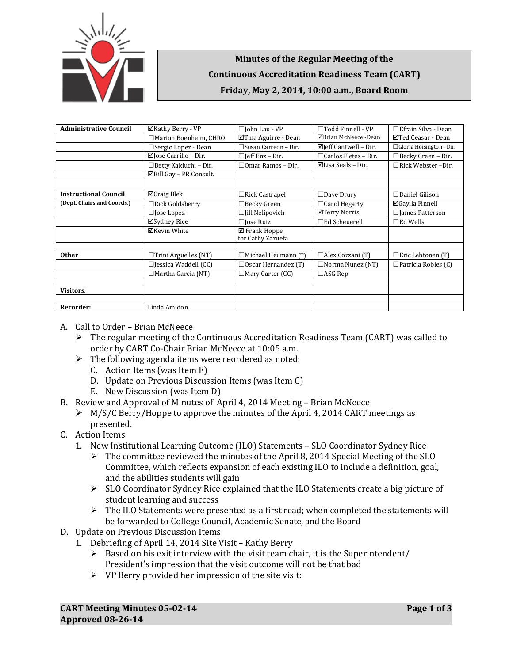

## **Minutes of the Regular Meeting of the Continuous Accreditation Readiness Team (CART) Friday, May 2, 2014, 10:00 a.m., Board Room**

| <b>Administrative Council</b> | ⊠Kathy Berry - VP                  | $\Box$ John Lau - VP                         | $\Box$ Todd Finnell - VP         | $\Box$ Efrain Silva - Dean |
|-------------------------------|------------------------------------|----------------------------------------------|----------------------------------|----------------------------|
|                               | $\Box$ Marion Boenheim, CHRO       | $\Box$ Tina Aguirre - Dean                   | ⊠Brian McNeece -Dean             | ⊠Ted Ceasar - Dean         |
|                               | $\Box$ Sergio Lopez - Dean         | $\Box$ Susan Carreon - Dir.                  | $\boxtimes$ Jeff Cantwell – Dir. | □ Gloria Hoisington-Dir.   |
|                               | $\boxtimes$ Jose Carrillo – Dir.   | $\Box$ [eff Enz – Dir.                       | $\Box$ Carlos Fletes - Dir.      | $\Box$ Becky Green - Dir.  |
|                               | □Betty Kakiuchi - Dir.             | $\Box$ Omar Ramos – Dir.                     | $\boxtimes$ Lisa Seals – Dir.    | $\Box$ Rick Webster -Dir.  |
|                               | $\boxtimes$ Bill Gay - PR Consult. |                                              |                                  |                            |
|                               |                                    |                                              |                                  |                            |
| <b>Instructional Council</b>  | $\Box$ Craig Blek                  | $\Box$ Rick Castrapel                        | $\Box$ Dave Drury                | $\Box$ Daniel Gilison      |
| (Dept. Chairs and Coords.)    | $\Box$ Rick Goldsberry             | $\Box$ Becky Green                           | □ Carol Hegarty                  | $\boxdot$ Gaylla Finnell   |
|                               | $\Box$ Jose Lopez                  | $\Box$ [ill Nelipovich                       | ⊠Terry Norris                    | $\Box$ James Patterson     |
|                               | ⊠Sydney Rice                       | $\Box$ Jose Ruiz                             | $\Box$ Ed Scheuerell             | $\square$ Ed Wells         |
|                               | ⊠Kevin White                       | $\boxtimes$ Frank Hoppe<br>for Cathy Zazueta |                                  |                            |
|                               |                                    |                                              |                                  |                            |
| <b>Other</b>                  | $\Box$ Trini Arguelles (NT)        | $\Box$ Michael Heumann (T)                   | $\Box$ Alex Cozzani (T)          | $\Box$ Eric Lehtonen (T)   |
|                               | $\Box$ Jessica Waddell (CC)        | $\Box$ Oscar Hernandez (T)                   | $\Box$ Norma Nunez (NT)          | $\Box$ Patricia Robles (C) |
|                               | $\Box$ Martha Garcia (NT)          | $\Box$ Mary Carter (CC)                      | $\Box$ ASG Rep                   |                            |
|                               |                                    |                                              |                                  |                            |
| <b>Visitors:</b>              |                                    |                                              |                                  |                            |
|                               |                                    |                                              |                                  |                            |
| Recorder:                     | Linda Amidon                       |                                              |                                  |                            |

- A. Call to Order Brian McNeece
	- $\triangleright$  The regular meeting of the Continuous Accreditation Readiness Team (CART) was called to order by CART Co-Chair Brian McNeece at 10:05 a.m.
	- $\triangleright$  The following agenda items were reordered as noted:
		- C. Action Items (was Item E)
		- D. Update on Previous Discussion Items (was Item C)
		- E. New Discussion (was Item D)
- B. Review and Approval of Minutes of April 4, 2014 Meeting Brian McNeece
	- $\triangleright$  M/S/C Berry/Hoppe to approve the minutes of the April 4, 2014 CART meetings as presented.
- C. Action Items
	- 1. New Institutional Learning Outcome (ILO) Statements SLO Coordinator Sydney Rice
		- $\triangleright$  The committee reviewed the minutes of the April 8, 2014 Special Meeting of the SLO Committee, which reflects expansion of each existing ILO to include a definition, goal, and the abilities students will gain
		- $\triangleright$  SLO Coordinator Sydney Rice explained that the ILO Statements create a big picture of student learning and success
		- $\triangleright$  The ILO Statements were presented as a first read; when completed the statements will be forwarded to College Council, Academic Senate, and the Board
- D. Update on Previous Discussion Items
	- 1. Debriefing of April 14, 2014 Site Visit Kathy Berry
		- $\triangleright$  Based on his exit interview with the visit team chair, it is the Superintendent/ President's impression that the visit outcome will not be that bad
		- $\triangleright$  VP Berry provided her impression of the site visit: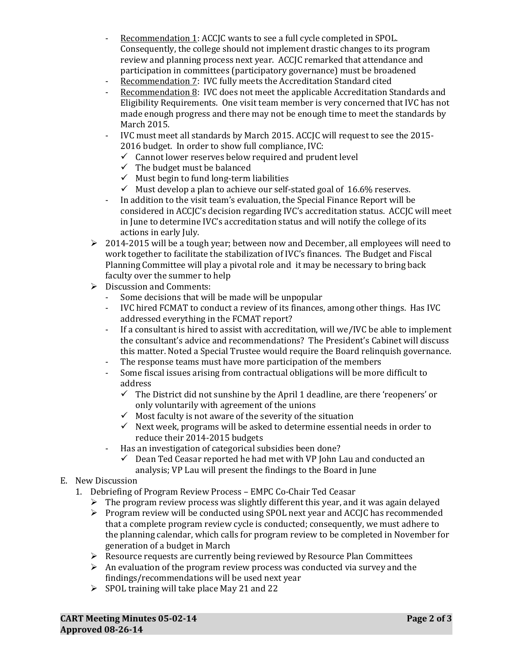- Recommendation 1: ACCJC wants to see a full cycle completed in SPOL. Consequently, the college should not implement drastic changes to its program review and planning process next year. ACCJC remarked that attendance and participation in committees (participatory governance) must be broadened
- Recommendation 7: IVC fully meets the Accreditation Standard cited<br>- Recommendation 8: IVC does not meet the applicable Accreditation S
- Recommendation 8: IVC does not meet the applicable Accreditation Standards and Eligibility Requirements. One visit team member is very concerned that IVC has not made enough progress and there may not be enough time to meet the standards by March 2015.
- IVC must meet all standards by March 2015. ACCJC will request to see the 2015- 2016 budget. In order to show full compliance, IVC:
	- $\checkmark$  Cannot lower reserves below required and prudent level
	- $\checkmark$  The budget must be balanced
	- $\checkmark$  Must begin to fund long-term liabilities
	- $\checkmark$  Must develop a plan to achieve our self-stated goal of 16.6% reserves.
- In addition to the visit team's evaluation, the Special Finance Report will be considered in ACCJC's decision regarding IVC's accreditation status. ACCJC will meet in June to determine IVC's accreditation status and will notify the college of its actions in early July.
- $\geq 2014$ -2015 will be a tough year; between now and December, all employees will need to work together to facilitate the stabilization of IVC's finances. The Budget and Fiscal Planning Committee will play a pivotal role and it may be necessary to bring back faculty over the summer to help
- $\triangleright$  Discussion and Comments:<br>Some decisions that will
	- Some decisions that will be made will be unpopular<br>- IVC hired FCMAT to conduct a review of its finances
	- IVC hired FCMAT to conduct a review of its finances, among other things. Has IVC addressed everything in the FCMAT report?
	- If a consultant is hired to assist with accreditation, will we/IVC be able to implement the consultant's advice and recommendations? The President's Cabinet will discuss this matter. Noted a Special Trustee would require the Board relinquish governance.
	- The response teams must have more participation of the members<br>- Some fiscal issues arising from contractual obligations will be more
	- Some fiscal issues arising from contractual obligations will be more difficult to address
		- $\checkmark$  The District did not sunshine by the April 1 deadline, are there 'reopeners' or only voluntarily with agreement of the unions
		- $\checkmark$  Most faculty is not aware of the severity of the situation
		- $\checkmark$  Next week, programs will be asked to determine essential needs in order to reduce their 2014-2015 budgets
	- Has an investigation of categorical subsidies been done?
		- Dean Ted Ceasar reported he had met with VP John Lau and conducted an analysis; VP Lau will present the findings to the Board in June

## E. New Discussion

- 1. Debriefing of Program Review Process EMPC Co-Chair Ted Ceasar
	- $\triangleright$  The program review process was slightly different this year, and it was again delayed
	- $\triangleright$  Program review will be conducted using SPOL next year and ACCJC has recommended that a complete program review cycle is conducted; consequently, we must adhere to the planning calendar, which calls for program review to be completed in November for generation of a budget in March
	- $\triangleright$  Resource requests are currently being reviewed by Resource Plan Committees
	- $\triangleright$  An evaluation of the program review process was conducted via survey and the findings/recommendations will be used next year
	- $\triangleright$  SPOL training will take place May 21 and 22